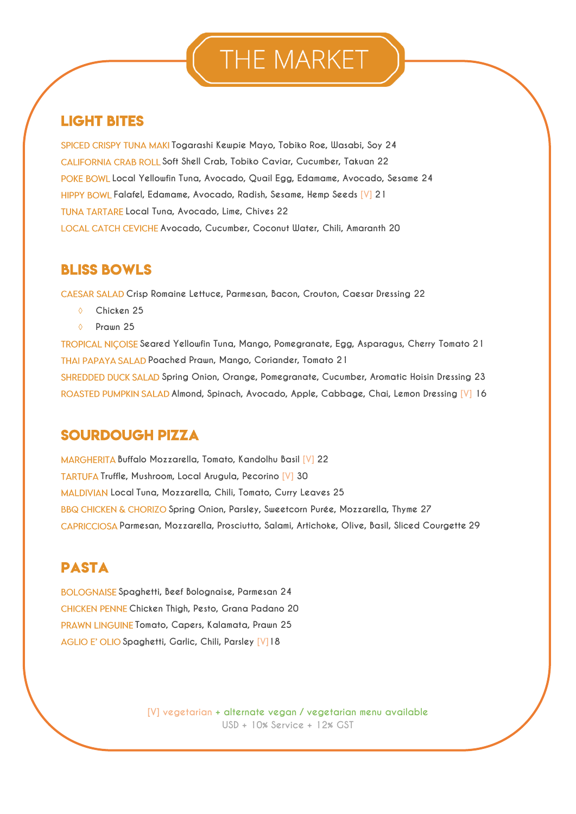# THE MARKET

## **LIGHT BITES**

SPICED CRISPY TUNA MAKI Togarashi Kewpie Mayo, Tobiko Roe, Wasabi, Soy 24 CALIFORNIA CRAB ROLL Soft Shell Crab, Tobiko Caviar, Cucumber, Takuan 22 POKE BOWL Local Yellowfin Tuna, Avocado, Quail Egg, Edamame, Avocado, Sesame 24 **Falafel, Edamame, Avocado, Radish, Sesame, Hemp Seeds [V] 21 Local Tuna, Avocado, Lime, Chives 22 LOCAL CATCH CEVICHE Avocado, Cucumber, Coconut Water, Chili, Amaranth 20** 

### **BLISS BOWLS**

**Crisp Romaine Lettuce, Parmesan, Bacon, Crouton, Caesar Dressing 22**

- **Chicken 25**
- **Prawn 25**

**Seared Yellowfin Tuna, Mango, Pomegranate, Egg, Asparagus, Cherry Tomato 21 Poached Prawn, Mango, Coriander, Tomato 21 Spring Onion, Orange, Pomegranate, Cucumber, Aromatic Hoisin Dressing 23 Almond, Spinach, Avocado, Apple, Cabbage, Chai, Lemon Dressing [V] 16** 

### **SOURDOUGH PIZZA**

**Buffalo Mozzarella, Tomato, Kandolhu Basil [V] 22 TARTUFA Truffle, Mushroom, Local Arugula, Pecorino [V] 30 Local Tuna, Mozzarella, Chili, Tomato, Curry Leaves 25 Spring Onion, Parsley, Sweetcorn Purée, Mozzarella, Thyme 27 Parmesan, Mozzarella, Prosciutto, Salami, Artichoke, Olive, Basil, Sliced Courgette 29**

## **PASTA**

**Spaghetti, Beef Bolognaise, Parmesan 24 Chicken Thigh, Pesto, Grana Padano 20 PRAWN LINGUINE Tomato, Capers, Kalamata, Prawn 25 Spaghetti, Garlic, Chili, Parsley [V]18**

> **[V] vegetarian + alternate vegan / vegetarian menu available USD + 10% Service + 12% GST**